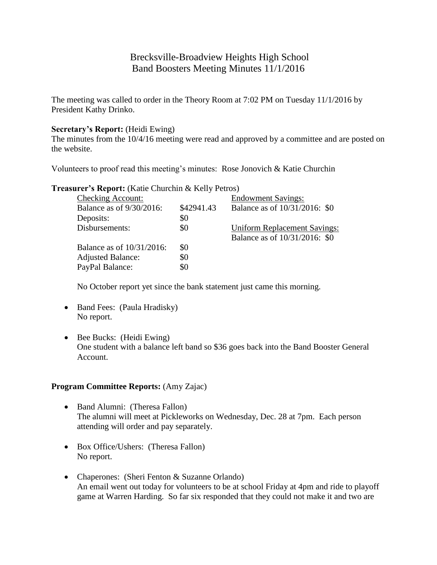# Brecksville-Broadview Heights High School Band Boosters Meeting Minutes 11/1/2016

The meeting was called to order in the Theory Room at 7:02 PM on Tuesday 11/1/2016 by President Kathy Drinko.

## **Secretary's Report:** (Heidi Ewing)

The minutes from the 10/4/16 meeting were read and approved by a committee and are posted on the website.

Volunteers to proof read this meeting's minutes: Rose Jonovich & Katie Churchin

## **Treasurer's Report:** (Katie Churchin & Kelly Petros)

|            | <b>Endowment Savings:</b>           |
|------------|-------------------------------------|
| \$42941.43 | Balance as of 10/31/2016: \$0       |
| \$0        |                                     |
| \$0        | <b>Uniform Replacement Savings:</b> |
|            | Balance as of 10/31/2016: \$0       |
| \$0        |                                     |
| \$0        |                                     |
| \$0        |                                     |
|            |                                     |

No October report yet since the bank statement just came this morning.

- Band Fees: (Paula Hradisky) No report.
- Bee Bucks: (Heidi Ewing) One student with a balance left band so \$36 goes back into the Band Booster General Account.

# **Program Committee Reports:** (Amy Zajac)

- Band Alumni: (Theresa Fallon) The alumni will meet at Pickleworks on Wednesday, Dec. 28 at 7pm. Each person attending will order and pay separately.
- Box Office/Ushers: (Theresa Fallon) No report.
- Chaperones: (Sheri Fenton & Suzanne Orlando) An email went out today for volunteers to be at school Friday at 4pm and ride to playoff game at Warren Harding. So far six responded that they could not make it and two are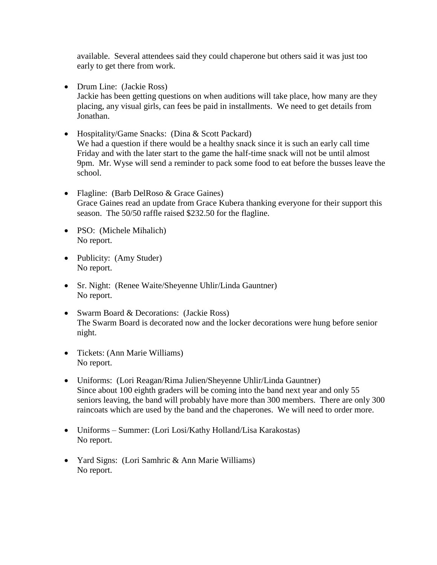available. Several attendees said they could chaperone but others said it was just too early to get there from work.

- Drum Line: (Jackie Ross) Jackie has been getting questions on when auditions will take place, how many are they placing, any visual girls, can fees be paid in installments. We need to get details from Jonathan.
- Hospitality/Game Snacks: (Dina & Scott Packard) We had a question if there would be a healthy snack since it is such an early call time Friday and with the later start to the game the half-time snack will not be until almost 9pm. Mr. Wyse will send a reminder to pack some food to eat before the busses leave the school.
- Flagline: (Barb DelRoso & Grace Gaines) Grace Gaines read an update from Grace Kubera thanking everyone for their support this season. The 50/50 raffle raised \$232.50 for the flagline.
- PSO: (Michele Mihalich) No report.
- Publicity: (Amy Studer) No report.
- Sr. Night: (Renee Waite/Sheyenne Uhlir/Linda Gauntner) No report.
- Swarm Board & Decorations: (Jackie Ross) The Swarm Board is decorated now and the locker decorations were hung before senior night.
- Tickets: (Ann Marie Williams) No report.
- Uniforms: (Lori Reagan/Rima Julien/Sheyenne Uhlir/Linda Gauntner) Since about 100 eighth graders will be coming into the band next year and only 55 seniors leaving, the band will probably have more than 300 members. There are only 300 raincoats which are used by the band and the chaperones. We will need to order more.
- Uniforms Summer: (Lori Losi/Kathy Holland/Lisa Karakostas) No report.
- Yard Signs: (Lori Samhric & Ann Marie Williams) No report.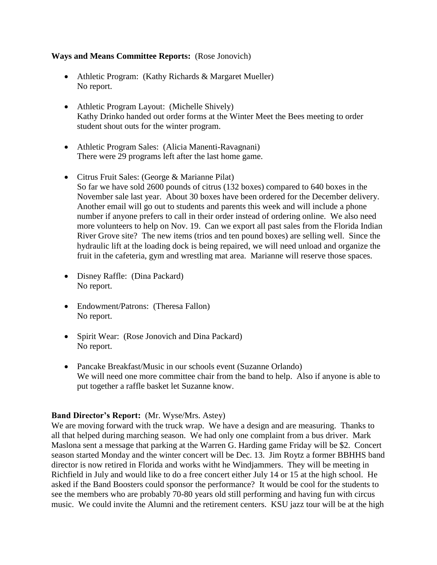#### **Ways and Means Committee Reports:** (Rose Jonovich)

- Athletic Program: (Kathy Richards & Margaret Mueller) No report.
- Athletic Program Layout: (Michelle Shively) Kathy Drinko handed out order forms at the Winter Meet the Bees meeting to order student shout outs for the winter program.
- Athletic Program Sales: (Alicia Manenti-Ravagnani) There were 29 programs left after the last home game.
- Citrus Fruit Sales: (George & Marianne Pilat) So far we have sold 2600 pounds of citrus (132 boxes) compared to 640 boxes in the November sale last year. About 30 boxes have been ordered for the December delivery. Another email will go out to students and parents this week and will include a phone number if anyone prefers to call in their order instead of ordering online. We also need more volunteers to help on Nov. 19. Can we export all past sales from the Florida Indian River Grove site? The new items (trios and ten pound boxes) are selling well. Since the hydraulic lift at the loading dock is being repaired, we will need unload and organize the fruit in the cafeteria, gym and wrestling mat area. Marianne will reserve those spaces.
- Disney Raffle: (Dina Packard) No report.
- Endowment/Patrons: (Theresa Fallon) No report.
- Spirit Wear: (Rose Jonovich and Dina Packard) No report.
- Pancake Breakfast/Music in our schools event (Suzanne Orlando) We will need one more committee chair from the band to help. Also if anyone is able to put together a raffle basket let Suzanne know.

# **Band Director's Report:** (Mr. Wyse/Mrs. Astey)

We are moving forward with the truck wrap. We have a design and are measuring. Thanks to all that helped during marching season. We had only one complaint from a bus driver. Mark Maslona sent a message that parking at the Warren G. Harding game Friday will be \$2. Concert season started Monday and the winter concert will be Dec. 13. Jim Roytz a former BBHHS band director is now retired in Florida and works witht he Windjammers. They will be meeting in Richfield in July and would like to do a free concert either July 14 or 15 at the high school. He asked if the Band Boosters could sponsor the performance? It would be cool for the students to see the members who are probably 70-80 years old still performing and having fun with circus music. We could invite the Alumni and the retirement centers. KSU jazz tour will be at the high